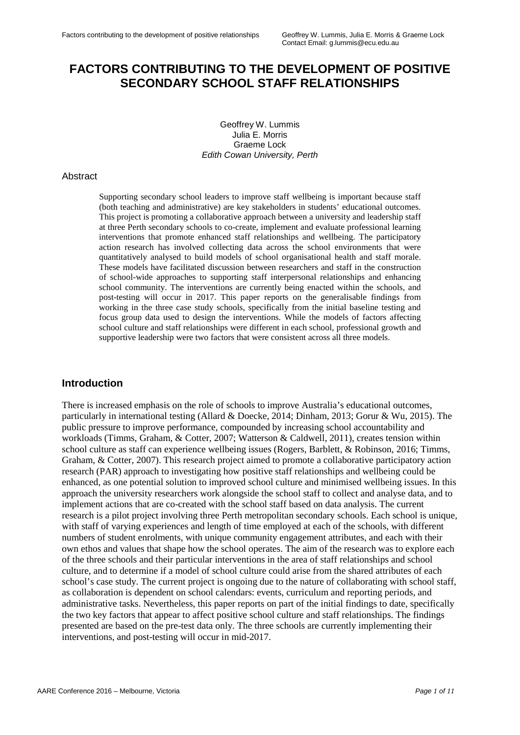# **FACTORS CONTRIBUTING TO THE DEVELOPMENT OF POSITIVE SECONDARY SCHOOL STAFF RELATIONSHIPS**

Geoffrey W. Lummis Julia E. Morris Graeme Lock *Edith Cowan University, Perth*

#### Abstract

Supporting secondary school leaders to improve staff wellbeing is important because staff (both teaching and administrative) are key stakeholders in students' educational outcomes. This project is promoting a collaborative approach between a university and leadership staff at three Perth secondary schools to co-create, implement and evaluate professional learning interventions that promote enhanced staff relationships and wellbeing. The participatory action research has involved collecting data across the school environments that were quantitatively analysed to build models of school organisational health and staff morale. These models have facilitated discussion between researchers and staff in the construction of school-wide approaches to supporting staff interpersonal relationships and enhancing school community. The interventions are currently being enacted within the schools, and post-testing will occur in 2017. This paper reports on the generalisable findings from working in the three case study schools, specifically from the initial baseline testing and focus group data used to design the interventions. While the models of factors affecting school culture and staff relationships were different in each school, professional growth and supportive leadership were two factors that were consistent across all three models.

#### **Introduction**

There is increased emphasis on the role of schools to improve Australia's educational outcomes, particularly in international testing (Allard & Doecke, 2014; Dinham, 2013; Gorur & Wu, 2015). The public pressure to improve performance, compounded by increasing school accountability and workloads (Timms, Graham, & Cotter, 2007; Watterson & Caldwell, 2011), creates tension within school culture as staff can experience wellbeing issues (Rogers, Barblett, & Robinson, 2016; Timms, Graham, & Cotter, 2007). This research project aimed to promote a collaborative participatory action research (PAR) approach to investigating how positive staff relationships and wellbeing could be enhanced, as one potential solution to improved school culture and minimised wellbeing issues. In this approach the university researchers work alongside the school staff to collect and analyse data, and to implement actions that are co-created with the school staff based on data analysis. The current research is a pilot project involving three Perth metropolitan secondary schools. Each school is unique, with staff of varying experiences and length of time employed at each of the schools, with different numbers of student enrolments, with unique community engagement attributes, and each with their own ethos and values that shape how the school operates. The aim of the research was to explore each of the three schools and their particular interventions in the area of staff relationships and school culture, and to determine if a model of school culture could arise from the shared attributes of each school's case study. The current project is ongoing due to the nature of collaborating with school staff, as collaboration is dependent on school calendars: events, curriculum and reporting periods, and administrative tasks. Nevertheless, this paper reports on part of the initial findings to date, specifically the two key factors that appear to affect positive school culture and staff relationships. The findings presented are based on the pre-test data only. The three schools are currently implementing their interventions, and post-testing will occur in mid-2017.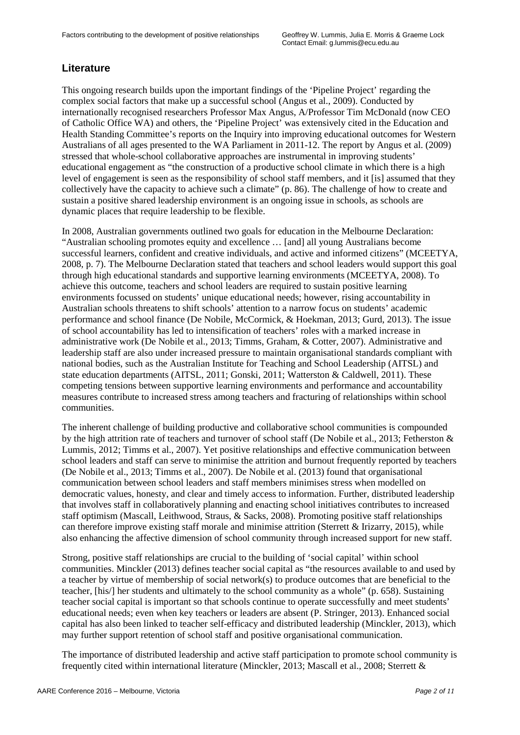# **Literature**

This ongoing research builds upon the important findings of the 'Pipeline Project' regarding the complex social factors that make up a successful school (Angus et al., 2009). Conducted by internationally recognised researchers Professor Max Angus, A/Professor Tim McDonald (now CEO of Catholic Office WA) and others, the 'Pipeline Project' was extensively cited in the Education and Health Standing Committee's reports on the Inquiry into improving educational outcomes for Western Australians of all ages presented to the WA Parliament in 2011-12. The report by Angus et al. (2009) stressed that whole-school collaborative approaches are instrumental in improving students' educational engagement as "the construction of a productive school climate in which there is a high level of engagement is seen as the responsibility of school staff members, and it [is] assumed that they collectively have the capacity to achieve such a climate" (p. 86). The challenge of how to create and sustain a positive shared leadership environment is an ongoing issue in schools, as schools are dynamic places that require leadership to be flexible.

In 2008, Australian governments outlined two goals for education in the Melbourne Declaration: "Australian schooling promotes equity and excellence … [and] all young Australians become successful learners, confident and creative individuals, and active and informed citizens" (MCEETYA, 2008, p. 7). The Melbourne Declaration stated that teachers and school leaders would support this goal through high educational standards and supportive learning environments (MCEETYA, 2008). To achieve this outcome, teachers and school leaders are required to sustain positive learning environments focussed on students' unique educational needs; however, rising accountability in Australian schools threatens to shift schools' attention to a narrow focus on students' academic performance and school finance (De Nobile, McCormick, & Hoekman, 2013; Gurd, 2013). The issue of school accountability has led to intensification of teachers' roles with a marked increase in administrative work (De Nobile et al., 2013; Timms, Graham, & Cotter, 2007). Administrative and leadership staff are also under increased pressure to maintain organisational standards compliant with national bodies, such as the Australian Institute for Teaching and School Leadership (AITSL) and state education departments (AITSL, 2011; Gonski, 2011; Watterston & Caldwell, 2011). These competing tensions between supportive learning environments and performance and accountability measures contribute to increased stress among teachers and fracturing of relationships within school communities.

The inherent challenge of building productive and collaborative school communities is compounded by the high attrition rate of teachers and turnover of school staff (De Nobile et al., 2013; Fetherston & Lummis, 2012; Timms et al., 2007). Yet positive relationships and effective communication between school leaders and staff can serve to minimise the attrition and burnout frequently reported by teachers (De Nobile et al., 2013; Timms et al., 2007). De Nobile et al. (2013) found that organisational communication between school leaders and staff members minimises stress when modelled on democratic values, honesty, and clear and timely access to information. Further, distributed leadership that involves staff in collaboratively planning and enacting school initiatives contributes to increased staff optimism (Mascall, Leithwood, Straus, & Sacks, 2008). Promoting positive staff relationships can therefore improve existing staff morale and minimise attrition (Sterrett & Irizarry, 2015), while also enhancing the affective dimension of school community through increased support for new staff.

Strong, positive staff relationships are crucial to the building of 'social capital' within school communities. Minckler (2013) defines teacher social capital as "the resources available to and used by a teacher by virtue of membership of social network(s) to produce outcomes that are beneficial to the teacher, [his/] her students and ultimately to the school community as a whole" (p. 658). Sustaining teacher social capital is important so that schools continue to operate successfully and meet students' educational needs; even when key teachers or leaders are absent (P. Stringer, 2013). Enhanced social capital has also been linked to teacher self-efficacy and distributed leadership (Minckler, 2013), which may further support retention of school staff and positive organisational communication.

The importance of distributed leadership and active staff participation to promote school community is frequently cited within international literature (Minckler, 2013; Mascall et al., 2008; Sterrett &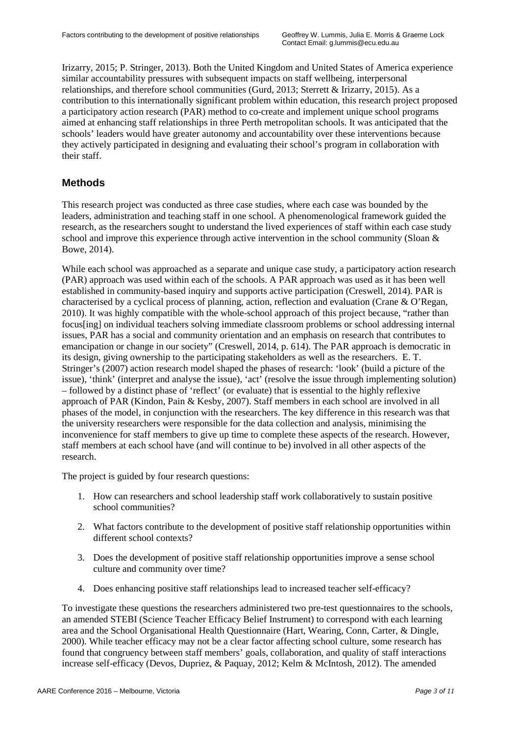Irizarry, 2015; P. Stringer, 2013). Both the United Kingdom and United States of America experience similar accountability pressures with subsequent impacts on staff wellbeing, interpersonal relationships, and therefore school communities (Gurd, 2013; Sterrett & Irizarry, 2015). As a contribution to this internationally significant problem within education, this research project proposed a participatory action research (PAR) method to co-create and implement unique school programs aimed at enhancing staff relationships in three Perth metropolitan schools. It was anticipated that the schools' leaders would have greater autonomy and accountability over these interventions because they actively participated in designing and evaluating their school's program in collaboration with their staff.

## **Methods**

This research project was conducted as three case studies, where each case was bounded by the leaders, administration and teaching staff in one school. A phenomenological framework guided the research, as the researchers sought to understand the lived experiences of staff within each case study school and improve this experience through active intervention in the school community (Sloan & Bowe, 2014).

While each school was approached as a separate and unique case study, a participatory action research (PAR) approach was used within each of the schools. A PAR approach was used as it has been well established in community-based inquiry and supports active participation (Creswell, 2014). PAR is characterised by a cyclical process of planning, action, reflection and evaluation (Crane & O'Regan, 2010). It was highly compatible with the whole-school approach of this project because, "rather than focus[ing] on individual teachers solving immediate classroom problems or school addressing internal issues, PAR has a social and community orientation and an emphasis on research that contributes to emancipation or change in our society" (Creswell, 2014, p. 614). The PAR approach is democratic in its design, giving ownership to the participating stakeholders as well as the researchers. E. T. Stringer's (2007) action research model shaped the phases of research: 'look' (build a picture of the issue), 'think' (interpret and analyse the issue), 'act' (resolve the issue through implementing solution) – followed by a distinct phase of 'reflect' (or evaluate) that is essential to the highly reflexive approach of PAR (Kindon, Pain & Kesby, 2007). Staff members in each school are involved in all phases of the model, in conjunction with the researchers. The key difference in this research was that the university researchers were responsible for the data collection and analysis, minimising the inconvenience for staff members to give up time to complete these aspects of the research. However, staff members at each school have (and will continue to be) involved in all other aspects of the research.

The project is guided by four research questions:

- 1. How can researchers and school leadership staff work collaboratively to sustain positive school communities?
- 2. What factors contribute to the development of positive staff relationship opportunities within different school contexts?
- 3. Does the development of positive staff relationship opportunities improve a sense school culture and community over time?
- 4. Does enhancing positive staff relationships lead to increased teacher self-efficacy?

To investigate these questions the researchers administered two pre-test questionnaires to the schools, an amended STEBI (Science Teacher Efficacy Belief Instrument) to correspond with each learning area and the School Organisational Health Questionnaire (Hart, Wearing, Conn, Carter, & Dingle, 2000). While teacher efficacy may not be a clear factor affecting school culture, some research has found that congruency between staff members' goals, collaboration, and quality of staff interactions increase self-efficacy (Devos, Dupriez, & Paquay, 2012; Kelm & McIntosh, 2012). The amended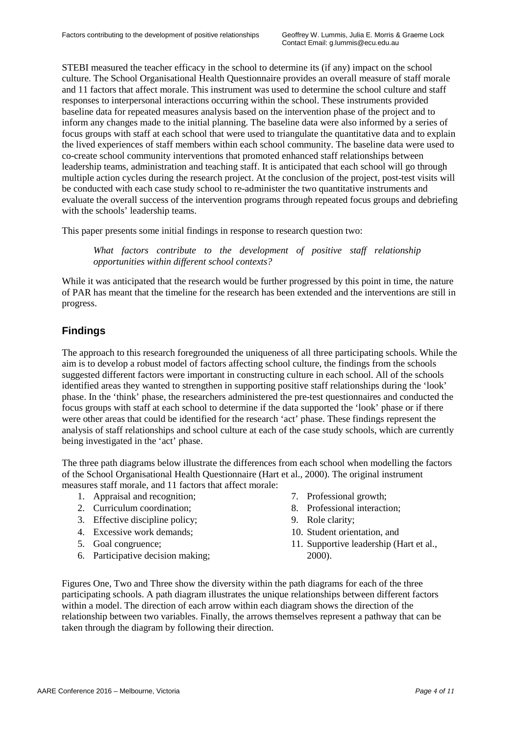STEBI measured the teacher efficacy in the school to determine its (if any) impact on the school culture. The School Organisational Health Questionnaire provides an overall measure of staff morale and 11 factors that affect morale. This instrument was used to determine the school culture and staff responses to interpersonal interactions occurring within the school. These instruments provided baseline data for repeated measures analysis based on the intervention phase of the project and to inform any changes made to the initial planning. The baseline data were also informed by a series of focus groups with staff at each school that were used to triangulate the quantitative data and to explain the lived experiences of staff members within each school community. The baseline data were used to co-create school community interventions that promoted enhanced staff relationships between leadership teams, administration and teaching staff. It is anticipated that each school will go through multiple action cycles during the research project. At the conclusion of the project, post-test visits will be conducted with each case study school to re-administer the two quantitative instruments and evaluate the overall success of the intervention programs through repeated focus groups and debriefing with the schools' leadership teams.

This paper presents some initial findings in response to research question two:

What factors contribute to the development of positive staff relationship *opportunities within different school contexts?* 

While it was anticipated that the research would be further progressed by this point in time, the nature of PAR has meant that the timeline for the research has been extended and the interventions are still in progress.

### **Findings**

The approach to this research foregrounded the uniqueness of all three participating schools. While the aim is to develop a robust model of factors affecting school culture, the findings from the schools suggested different factors were important in constructing culture in each school. All of the schools identified areas they wanted to strengthen in supporting positive staff relationships during the 'look' phase. In the 'think' phase, the researchers administered the pre-test questionnaires and conducted the focus groups with staff at each school to determine if the data supported the 'look' phase or if there were other areas that could be identified for the research 'act' phase. These findings represent the analysis of staff relationships and school culture at each of the case study schools, which are currently being investigated in the 'act' phase.

The three path diagrams below illustrate the differences from each school when modelling the factors of the School Organisational Health Questionnaire (Hart et al., 2000). The original instrument measures staff morale, and 11 factors that affect morale:

- 1. Appraisal and recognition;
- 2. Curriculum coordination;
- 3. Effective discipline policy;
- 4. Excessive work demands;
- 5. Goal congruence;
- 6. Participative decision making;
- 7. Professional growth;
- 8. Professional interaction;
- 9. Role clarity;
- 10. Student orientation, and
- 11. Supportive leadership (Hart et al., 2000).

Figures One, Two and Three show the diversity within the path diagrams for each of the three participating schools. A path diagram illustrates the unique relationships between different factors within a model. The direction of each arrow within each diagram shows the direction of the relationship between two variables. Finally, the arrows themselves represent a pathway that can be taken through the diagram by following their direction.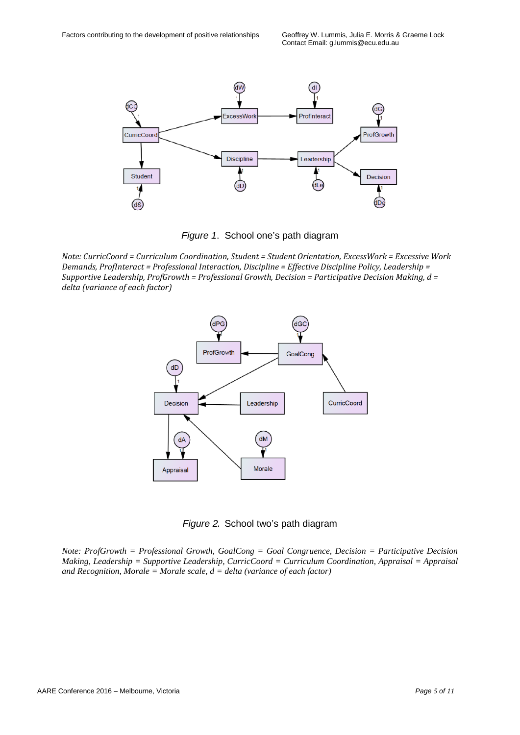

*Figure 1*. School one's path diagram

*Note: CurricCoord = Curriculum Coordination, Student = Student Orientation, ExcessWork = Excessive Work Demands, ProfInteract = Professional Interaction, Discipline = Effective Discipline Policy, Leadership = Supportive Leadership, ProfGrowth = Professional Growth, Decision = Participative Decision Making, d = delta (variance of each factor)*



*Figure 2.* School two's path diagram

*Note: ProfGrowth = Professional Growth, GoalCong = Goal Congruence, Decision = Participative Decision Making, Leadership = Supportive Leadership, CurricCoord = Curriculum Coordination, Appraisal = Appraisal and Recognition, Morale = Morale scale, d = delta (variance of each factor)*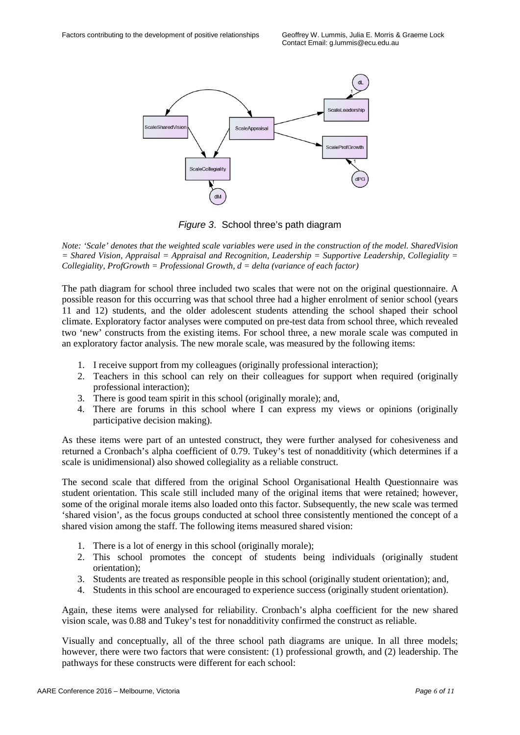

*Figure 3*. School three's path diagram

*Note: 'Scale' denotes that the weighted scale variables were used in the construction of the model. SharedVision = Shared Vision, Appraisal = Appraisal and Recognition, Leadership = Supportive Leadership, Collegiality = Collegiality, ProfGrowth = Professional Growth, d = delta (variance of each factor)*

The path diagram for school three included two scales that were not on the original questionnaire. A possible reason for this occurring was that school three had a higher enrolment of senior school (years 11 and 12) students, and the older adolescent students attending the school shaped their school climate. Exploratory factor analyses were computed on pre-test data from school three, which revealed two 'new' constructs from the existing items. For school three, a new morale scale was computed in an exploratory factor analysis. The new morale scale, was measured by the following items:

- 1. I receive support from my colleagues (originally professional interaction);
- 2. Teachers in this school can rely on their colleagues for support when required (originally professional interaction);
- 3. There is good team spirit in this school (originally morale); and,
- 4. There are forums in this school where I can express my views or opinions (originally participative decision making).

As these items were part of an untested construct, they were further analysed for cohesiveness and returned a Cronbach's alpha coefficient of 0.79. Tukey's test of nonadditivity (which determines if a scale is unidimensional) also showed collegiality as a reliable construct.

The second scale that differed from the original School Organisational Health Questionnaire was student orientation. This scale still included many of the original items that were retained; however, some of the original morale items also loaded onto this factor. Subsequently, the new scale was termed 'shared vision', as the focus groups conducted at school three consistently mentioned the concept of a shared vision among the staff. The following items measured shared vision:

- 1. There is a lot of energy in this school (originally morale);
- 2. This school promotes the concept of students being individuals (originally student orientation);
- 3. Students are treated as responsible people in this school (originally student orientation); and,
- 4. Students in this school are encouraged to experience success (originally student orientation).

Again, these items were analysed for reliability. Cronbach's alpha coefficient for the new shared vision scale, was 0.88 and Tukey's test for nonadditivity confirmed the construct as reliable.

Visually and conceptually, all of the three school path diagrams are unique. In all three models; however, there were two factors that were consistent: (1) professional growth, and (2) leadership. The pathways for these constructs were different for each school: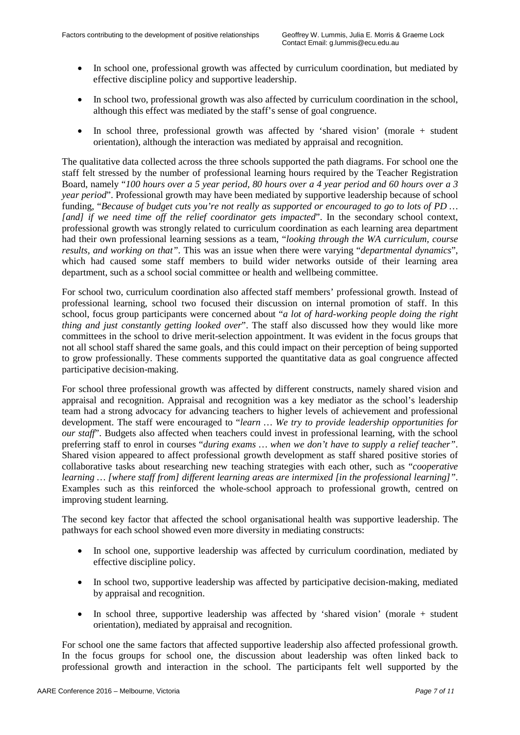- In school one, professional growth was affected by curriculum coordination, but mediated by effective discipline policy and supportive leadership.
- In school two, professional growth was also affected by curriculum coordination in the school, although this effect was mediated by the staff's sense of goal congruence.
- In school three, professional growth was affected by 'shared vision' (morale + student orientation), although the interaction was mediated by appraisal and recognition.

The qualitative data collected across the three schools supported the path diagrams. For school one the staff felt stressed by the number of professional learning hours required by the Teacher Registration Board, namely "*100 hours over a 5 year period, 80 hours over a 4 year period and 60 hours over a 3 year period*". Professional growth may have been mediated by supportive leadership because of school funding, "*Because of budget cuts you're not really as supported or encouraged to go to lots of PD … [and] if we need time off the relief coordinator gets impacted*". In the secondary school context, professional growth was strongly related to curriculum coordination as each learning area department had their own professional learning sessions as a team, "*looking through the WA curriculum, course results, and working on that"*. This was an issue when there were varying "*departmental dynamics*", which had caused some staff members to build wider networks outside of their learning area department, such as a school social committee or health and wellbeing committee.

For school two, curriculum coordination also affected staff members' professional growth. Instead of professional learning, school two focused their discussion on internal promotion of staff. In this school, focus group participants were concerned about "*a lot of hard-working people doing the right thing and just constantly getting looked over*". The staff also discussed how they would like more committees in the school to drive merit-selection appointment. It was evident in the focus groups that not all school staff shared the same goals, and this could impact on their perception of being supported to grow professionally. These comments supported the quantitative data as goal congruence affected participative decision-making.

For school three professional growth was affected by different constructs, namely shared vision and appraisal and recognition. Appraisal and recognition was a key mediator as the school's leadership team had a strong advocacy for advancing teachers to higher levels of achievement and professional development. The staff were encouraged to "*learn … We try to provide leadership opportunities for our staff*". Budgets also affected when teachers could invest in professional learning, with the school preferring staff to enrol in courses "*during exams … when we don't have to supply a relief teacher"*. Shared vision appeared to affect professional growth development as staff shared positive stories of collaborative tasks about researching new teaching strategies with each other, such as "*cooperative learning … [where staff from] different learning areas are intermixed [in the professional learning]"*. Examples such as this reinforced the whole-school approach to professional growth, centred on improving student learning.

The second key factor that affected the school organisational health was supportive leadership. The pathways for each school showed even more diversity in mediating constructs:

- In school one, supportive leadership was affected by curriculum coordination, mediated by effective discipline policy.
- In school two, supportive leadership was affected by participative decision-making, mediated by appraisal and recognition.
- In school three, supportive leadership was affected by 'shared vision' (morale + student orientation), mediated by appraisal and recognition.

For school one the same factors that affected supportive leadership also affected professional growth. In the focus groups for school one, the discussion about leadership was often linked back to professional growth and interaction in the school. The participants felt well supported by the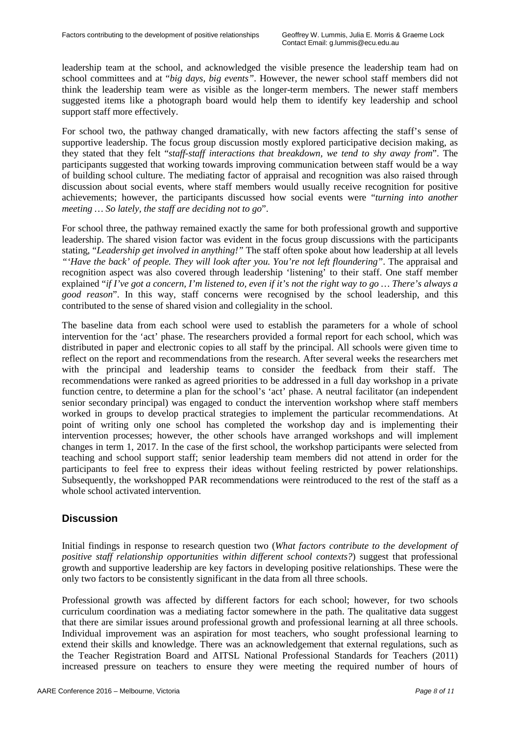leadership team at the school, and acknowledged the visible presence the leadership team had on school committees and at "*big days, big events"*. However, the newer school staff members did not think the leadership team were as visible as the longer-term members. The newer staff members suggested items like a photograph board would help them to identify key leadership and school support staff more effectively.

For school two, the pathway changed dramatically, with new factors affecting the staff's sense of supportive leadership. The focus group discussion mostly explored participative decision making, as they stated that they felt "*staff-staff interactions that breakdown, we tend to shy away from*". The participants suggested that working towards improving communication between staff would be a way of building school culture. The mediating factor of appraisal and recognition was also raised through discussion about social events, where staff members would usually receive recognition for positive achievements; however, the participants discussed how social events were "*turning into another meeting … So lately, the staff are deciding not to go*".

For school three, the pathway remained exactly the same for both professional growth and supportive leadership. The shared vision factor was evident in the focus group discussions with the participants stating, "*Leadership get involved in anything!"* The staff often spoke about how leadership at all levels *"'Have the back' of people. They will look after you. You're not left floundering"*. The appraisal and recognition aspect was also covered through leadership 'listening' to their staff. One staff member explained "*if I've got a concern, I'm listened to, even if it's not the right way to go … There's always a good reason*". In this way, staff concerns were recognised by the school leadership, and this contributed to the sense of shared vision and collegiality in the school.

The baseline data from each school were used to establish the parameters for a whole of school intervention for the 'act' phase. The researchers provided a formal report for each school, which was distributed in paper and electronic copies to all staff by the principal. All schools were given time to reflect on the report and recommendations from the research. After several weeks the researchers met with the principal and leadership teams to consider the feedback from their staff. The recommendations were ranked as agreed priorities to be addressed in a full day workshop in a private function centre, to determine a plan for the school's 'act' phase. A neutral facilitator (an independent senior secondary principal) was engaged to conduct the intervention workshop where staff members worked in groups to develop practical strategies to implement the particular recommendations. At point of writing only one school has completed the workshop day and is implementing their intervention processes; however, the other schools have arranged workshops and will implement changes in term 1, 2017. In the case of the first school, the workshop participants were selected from teaching and school support staff; senior leadership team members did not attend in order for the participants to feel free to express their ideas without feeling restricted by power relationships. Subsequently, the workshopped PAR recommendations were reintroduced to the rest of the staff as a whole school activated intervention.

### **Discussion**

Initial findings in response to research question two (*What factors contribute to the development of positive staff relationship opportunities within different school contexts?*) suggest that professional growth and supportive leadership are key factors in developing positive relationships. These were the only two factors to be consistently significant in the data from all three schools.

Professional growth was affected by different factors for each school; however, for two schools curriculum coordination was a mediating factor somewhere in the path. The qualitative data suggest that there are similar issues around professional growth and professional learning at all three schools. Individual improvement was an aspiration for most teachers, who sought professional learning to extend their skills and knowledge. There was an acknowledgement that external regulations, such as the Teacher Registration Board and AITSL National Professional Standards for Teachers (2011) increased pressure on teachers to ensure they were meeting the required number of hours of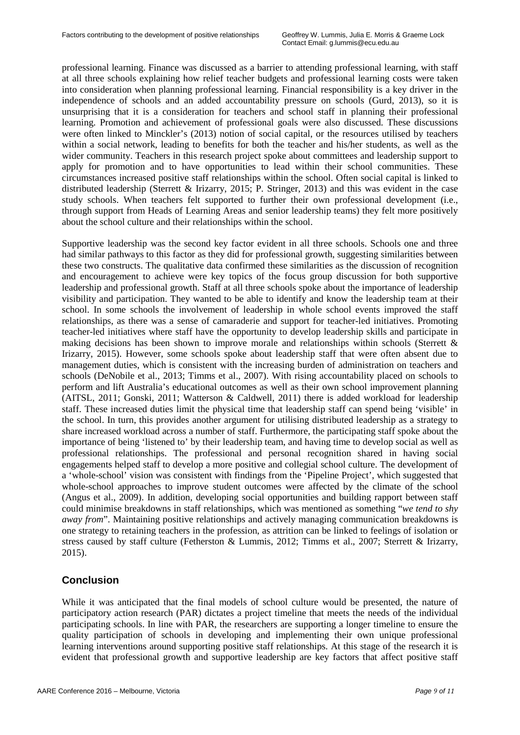professional learning. Finance was discussed as a barrier to attending professional learning, with staff at all three schools explaining how relief teacher budgets and professional learning costs were taken into consideration when planning professional learning. Financial responsibility is a key driver in the independence of schools and an added accountability pressure on schools (Gurd, 2013), so it is unsurprising that it is a consideration for teachers and school staff in planning their professional learning. Promotion and achievement of professional goals were also discussed. These discussions were often linked to Minckler's (2013) notion of social capital, or the resources utilised by teachers within a social network, leading to benefits for both the teacher and his/her students, as well as the wider community. Teachers in this research project spoke about committees and leadership support to apply for promotion and to have opportunities to lead within their school communities. These circumstances increased positive staff relationships within the school. Often social capital is linked to distributed leadership (Sterrett & Irizarry, 2015; P. Stringer, 2013) and this was evident in the case study schools. When teachers felt supported to further their own professional development (i.e., through support from Heads of Learning Areas and senior leadership teams) they felt more positively about the school culture and their relationships within the school.

Supportive leadership was the second key factor evident in all three schools. Schools one and three had similar pathways to this factor as they did for professional growth, suggesting similarities between these two constructs. The qualitative data confirmed these similarities as the discussion of recognition and encouragement to achieve were key topics of the focus group discussion for both supportive leadership and professional growth. Staff at all three schools spoke about the importance of leadership visibility and participation. They wanted to be able to identify and know the leadership team at their school. In some schools the involvement of leadership in whole school events improved the staff relationships, as there was a sense of camaraderie and support for teacher-led initiatives. Promoting teacher-led initiatives where staff have the opportunity to develop leadership skills and participate in making decisions has been shown to improve morale and relationships within schools (Sterrett & Irizarry, 2015). However, some schools spoke about leadership staff that were often absent due to management duties, which is consistent with the increasing burden of administration on teachers and schools (DeNobile et al., 2013; Timms et al., 2007). With rising accountability placed on schools to perform and lift Australia's educational outcomes as well as their own school improvement planning (AITSL, 2011; Gonski, 2011; Watterson & Caldwell, 2011) there is added workload for leadership staff. These increased duties limit the physical time that leadership staff can spend being 'visible' in the school. In turn, this provides another argument for utilising distributed leadership as a strategy to share increased workload across a number of staff. Furthermore, the participating staff spoke about the importance of being 'listened to' by their leadership team, and having time to develop social as well as professional relationships. The professional and personal recognition shared in having social engagements helped staff to develop a more positive and collegial school culture. The development of a 'whole-school' vision was consistent with findings from the 'Pipeline Project', which suggested that whole-school approaches to improve student outcomes were affected by the climate of the school (Angus et al., 2009). In addition, developing social opportunities and building rapport between staff could minimise breakdowns in staff relationships, which was mentioned as something "*we tend to shy away from*". Maintaining positive relationships and actively managing communication breakdowns is one strategy to retaining teachers in the profession, as attrition can be linked to feelings of isolation or stress caused by staff culture (Fetherston & Lummis, 2012; Timms et al., 2007; Sterrett & Irizarry, 2015).

### **Conclusion**

While it was anticipated that the final models of school culture would be presented, the nature of participatory action research (PAR) dictates a project timeline that meets the needs of the individual participating schools. In line with PAR, the researchers are supporting a longer timeline to ensure the quality participation of schools in developing and implementing their own unique professional learning interventions around supporting positive staff relationships. At this stage of the research it is evident that professional growth and supportive leadership are key factors that affect positive staff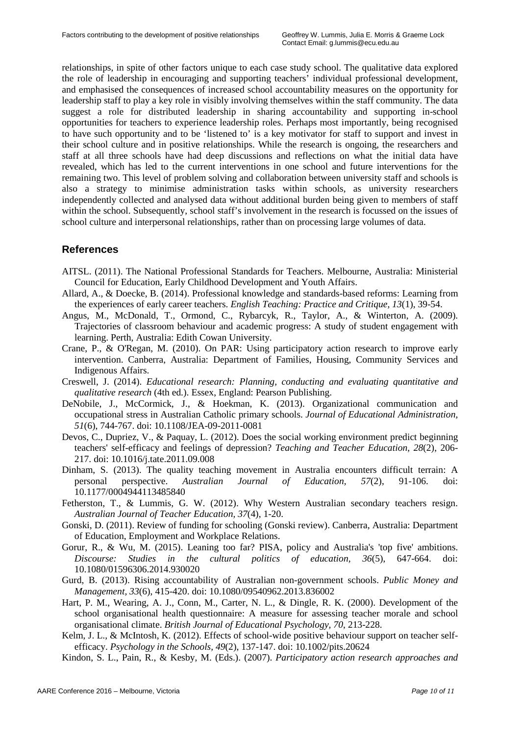relationships, in spite of other factors unique to each case study school. The qualitative data explored the role of leadership in encouraging and supporting teachers' individual professional development, and emphasised the consequences of increased school accountability measures on the opportunity for leadership staff to play a key role in visibly involving themselves within the staff community. The data suggest a role for distributed leadership in sharing accountability and supporting in-school opportunities for teachers to experience leadership roles. Perhaps most importantly, being recognised to have such opportunity and to be 'listened to' is a key motivator for staff to support and invest in their school culture and in positive relationships. While the research is ongoing, the researchers and staff at all three schools have had deep discussions and reflections on what the initial data have revealed, which has led to the current interventions in one school and future interventions for the remaining two. This level of problem solving and collaboration between university staff and schools is also a strategy to minimise administration tasks within schools, as university researchers independently collected and analysed data without additional burden being given to members of staff within the school. Subsequently, school staff's involvement in the research is focussed on the issues of school culture and interpersonal relationships, rather than on processing large volumes of data.

### **References**

- AITSL. (2011). The National Professional Standards for Teachers. Melbourne, Australia: Ministerial Council for Education, Early Childhood Development and Youth Affairs.
- Allard, A., & Doecke, B. (2014). Professional knowledge and standards-based reforms: Learning from the experiences of early career teachers. *English Teaching: Practice and Critique, 13*(1), 39-54.
- Angus, M., McDonald, T., Ormond, C., Rybarcyk, R., Taylor, A., & Winterton, A. (2009). Trajectories of classroom behaviour and academic progress: A study of student engagement with learning. Perth, Australia: Edith Cowan University.
- Crane, P., & O'Regan, M. (2010). On PAR: Using participatory action research to improve early intervention. Canberra, Australia: Department of Families, Housing, Community Services and Indigenous Affairs.
- Creswell, J. (2014). *Educational research: Planning, conducting and evaluating quantitative and qualitative research* (4th ed.). Essex, England: Pearson Publishing.
- DeNobile, J., McCormick, J., & Hoekman, K. (2013). Organizational communication and occupational stress in Australian Catholic primary schools. *Journal of Educational Administration, 51*(6), 744-767. doi: 10.1108/JEA-09-2011-0081
- Devos, C., Dupriez, V., & Paquay, L. (2012). Does the social working environment predict beginning teachers' self-efficacy and feelings of depression? *Teaching and Teacher Education, 28*(2), 206- 217. doi: 10.1016/j.tate.2011.09.008
- Dinham, S. (2013). The quality teaching movement in Australia encounters difficult terrain: A personal perspective. *Australian Journal of Education, 57*(2), 91-106. doi: 10.1177/0004944113485840
- Fetherston, T., & Lummis, G. W. (2012). Why Western Australian secondary teachers resign. *Australian Journal of Teacher Education, 37*(4), 1-20.
- Gonski, D. (2011). Review of funding for schooling (Gonski review). Canberra, Australia: Department of Education, Employment and Workplace Relations.
- Gorur, R., & Wu, M. (2015). Leaning too far? PISA, policy and Australia's 'top five' ambitions. *Discourse: Studies in the cultural politics of education, 36*(5), 647-664. doi: 10.1080/01596306.2014.930020
- Gurd, B. (2013). Rising accountability of Australian non-government schools. *Public Money and Management, 33*(6), 415-420. doi: 10.1080/09540962.2013.836002
- Hart, P. M., Wearing, A. J., Conn, M., Carter, N. L., & Dingle, R. K. (2000). Development of the school organisational health questionnaire: A measure for assessing teacher morale and school organisational climate. *British Journal of Educational Psychology, 70*, 213-228.
- Kelm, J. L., & McIntosh, K. (2012). Effects of school-wide positive behaviour support on teacher selfefficacy. *Psychology in the Schools, 49*(2), 137-147. doi: 10.1002/pits.20624
- Kindon, S. L., Pain, R., & Kesby, M. (Eds.). (2007). *Participatory action research approaches and*